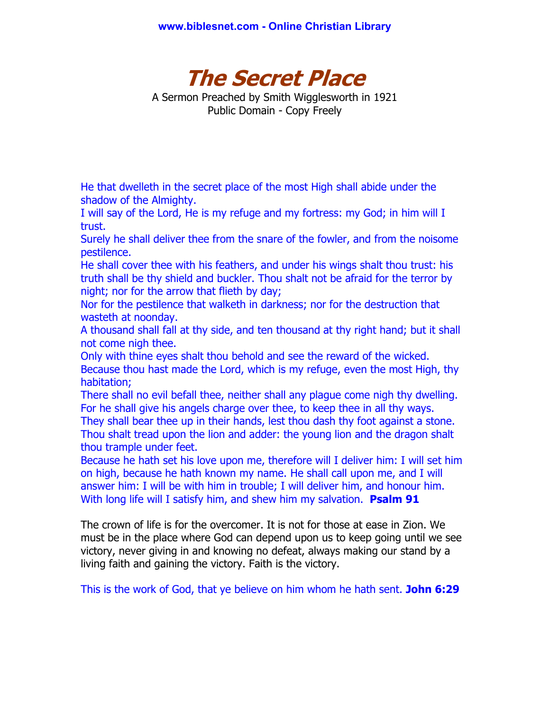The Secret Place

A Sermon Preached by Smith Wigglesworth in 1921 Public Domain - Copy Freely

He that dwelleth in the secret place of the most High shall abide under the shadow of the Almighty.

I will say of the Lord, He is my refuge and my fortress: my God; in him will I trust.

Surely he shall deliver thee from the snare of the fowler, and from the noisome pestilence.

He shall cover thee with his feathers, and under his wings shalt thou trust: his truth shall be thy shield and buckler. Thou shalt not be afraid for the terror by night; nor for the arrow that flieth by day;

Nor for the pestilence that walketh in darkness; nor for the destruction that wasteth at noonday.

A thousand shall fall at thy side, and ten thousand at thy right hand; but it shall not come nigh thee.

Only with thine eyes shalt thou behold and see the reward of the wicked. Because thou hast made the Lord, which is my refuge, even the most High, thy habitation;

There shall no evil befall thee, neither shall any plague come nigh thy dwelling. For he shall give his angels charge over thee, to keep thee in all thy ways.

They shall bear thee up in their hands, lest thou dash thy foot against a stone. Thou shalt tread upon the lion and adder: the young lion and the dragon shalt thou trample under feet.

Because he hath set his love upon me, therefore will I deliver him: I will set him on high, because he hath known my name. He shall call upon me, and I will answer him: I will be with him in trouble; I will deliver him, and honour him. With long life will I satisfy him, and shew him my salvation. Psalm 91

The crown of life is for the overcomer. It is not for those at ease in Zion. We must be in the place where God can depend upon us to keep going until we see victory, never giving in and knowing no defeat, always making our stand by a living faith and gaining the victory. Faith is the victory.

This is the work of God, that ye believe on him whom he hath sent. John 6:29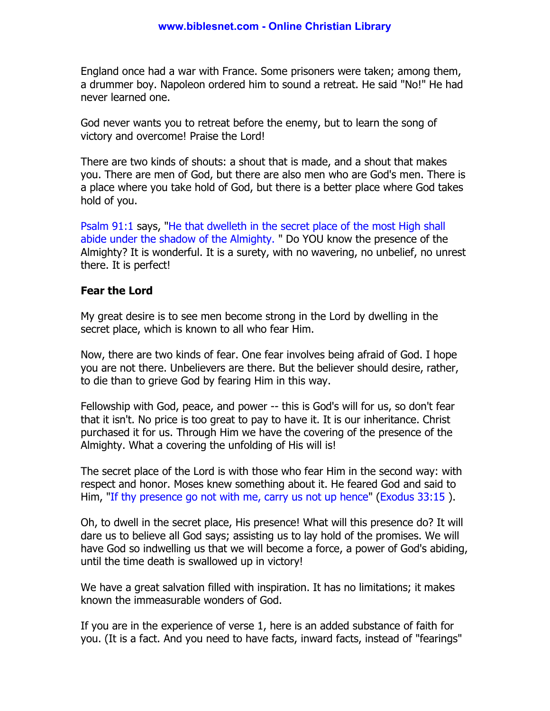England once had a war with France. Some prisoners were taken; among them, a drummer boy. Napoleon ordered him to sound a retreat. He said "No!" He had never learned one.

God never wants you to retreat before the enemy, but to learn the song of victory and overcome! Praise the Lord!

There are two kinds of shouts: a shout that is made, and a shout that makes you. There are men of God, but there are also men who are God's men. There is a place where you take hold of God, but there is a better place where God takes hold of you.

Psalm 91:1 says, "He that dwelleth in the secret place of the most High shall abide under the shadow of the Almighty. " Do YOU know the presence of the Almighty? It is wonderful. It is a surety, with no wavering, no unbelief, no unrest there. It is perfect!

## Fear the Lord

My great desire is to see men become strong in the Lord by dwelling in the secret place, which is known to all who fear Him.

Now, there are two kinds of fear. One fear involves being afraid of God. I hope you are not there. Unbelievers are there. But the believer should desire, rather, to die than to grieve God by fearing Him in this way.

Fellowship with God, peace, and power -- this is God's will for us, so don't fear that it isn't. No price is too great to pay to have it. It is our inheritance. Christ purchased it for us. Through Him we have the covering of the presence of the Almighty. What a covering the unfolding of His will is!

The secret place of the Lord is with those who fear Him in the second way: with respect and honor. Moses knew something about it. He feared God and said to Him, "If thy presence go not with me, carry us not up hence" (Exodus 33:15 ).

Oh, to dwell in the secret place, His presence! What will this presence do? It will dare us to believe all God says; assisting us to lay hold of the promises. We will have God so indwelling us that we will become a force, a power of God's abiding, until the time death is swallowed up in victory!

We have a great salvation filled with inspiration. It has no limitations; it makes known the immeasurable wonders of God.

If you are in the experience of verse 1, here is an added substance of faith for you. (It is a fact. And you need to have facts, inward facts, instead of "fearings"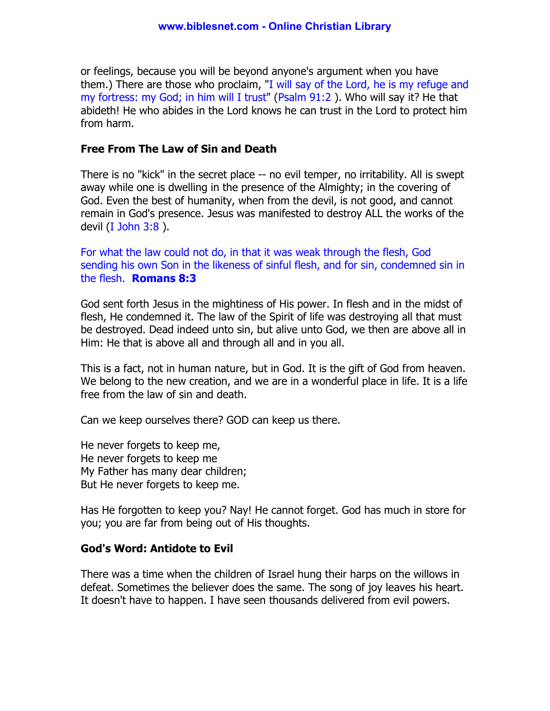or feelings, because you will be beyond anyone's argument when you have them.) There are those who proclaim, "I will say of the Lord, he is my refuge and my fortress: my God; in him will I trust" (Psalm 91:2 ). Who will say it? He that abideth! He who abides in the Lord knows he can trust in the Lord to protect him from harm.

## Free From The Law of Sin and Death

There is no "kick" in the secret place -- no evil temper, no irritability. All is swept away while one is dwelling in the presence of the Almighty; in the covering of God. Even the best of humanity, when from the devil, is not good, and cannot remain in God's presence. Jesus was manifested to destroy ALL the works of the devil (I John 3:8 ).

For what the law could not do, in that it was weak through the flesh, God sending his own Son in the likeness of sinful flesh, and for sin, condemned sin in the flesh. Romans 8:3

God sent forth Jesus in the mightiness of His power. In flesh and in the midst of flesh, He condemned it. The law of the Spirit of life was destroying all that must be destroyed. Dead indeed unto sin, but alive unto God, we then are above all in Him: He that is above all and through all and in you all.

This is a fact, not in human nature, but in God. It is the gift of God from heaven. We belong to the new creation, and we are in a wonderful place in life. It is a life free from the law of sin and death.

Can we keep ourselves there? GOD can keep us there.

He never forgets to keep me, He never forgets to keep me My Father has many dear children; But He never forgets to keep me.

Has He forgotten to keep you? Nay! He cannot forget. God has much in store for you; you are far from being out of His thoughts.

## God's Word: Antidote to Evil

There was a time when the children of Israel hung their harps on the willows in defeat. Sometimes the believer does the same. The song of joy leaves his heart. It doesn't have to happen. I have seen thousands delivered from evil powers.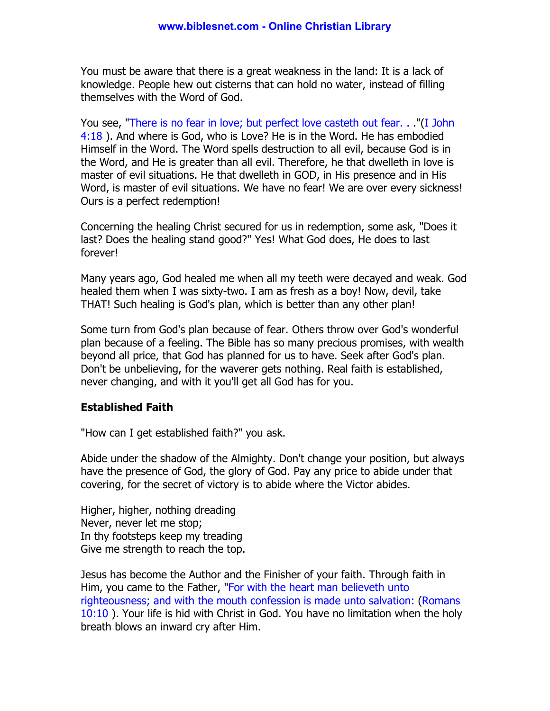You must be aware that there is a great weakness in the land: It is a lack of knowledge. People hew out cisterns that can hold no water, instead of filling themselves with the Word of God.

You see, "There is no fear in love; but perfect love casteth out fear. . ."(I John 4:18 ). And where is God, who is Love? He is in the Word. He has embodied Himself in the Word. The Word spells destruction to all evil, because God is in the Word, and He is greater than all evil. Therefore, he that dwelleth in love is master of evil situations. He that dwelleth in GOD, in His presence and in His Word, is master of evil situations. We have no fear! We are over every sickness! Ours is a perfect redemption!

Concerning the healing Christ secured for us in redemption, some ask, "Does it last? Does the healing stand good?" Yes! What God does, He does to last forever!

Many years ago, God healed me when all my teeth were decayed and weak. God healed them when I was sixty-two. I am as fresh as a boy! Now, devil, take THAT! Such healing is God's plan, which is better than any other plan!

Some turn from God's plan because of fear. Others throw over God's wonderful plan because of a feeling. The Bible has so many precious promises, with wealth beyond all price, that God has planned for us to have. Seek after God's plan. Don't be unbelieving, for the waverer gets nothing. Real faith is established, never changing, and with it you'll get all God has for you.

## Established Faith

"How can I get established faith?" you ask.

Abide under the shadow of the Almighty. Don't change your position, but always have the presence of God, the glory of God. Pay any price to abide under that covering, for the secret of victory is to abide where the Victor abides.

Higher, higher, nothing dreading Never, never let me stop; In thy footsteps keep my treading Give me strength to reach the top.

Jesus has become the Author and the Finisher of your faith. Through faith in Him, you came to the Father, "For with the heart man believeth unto righteousness; and with the mouth confession is made unto salvation: (Romans 10:10 ). Your life is hid with Christ in God. You have no limitation when the holy breath blows an inward cry after Him.